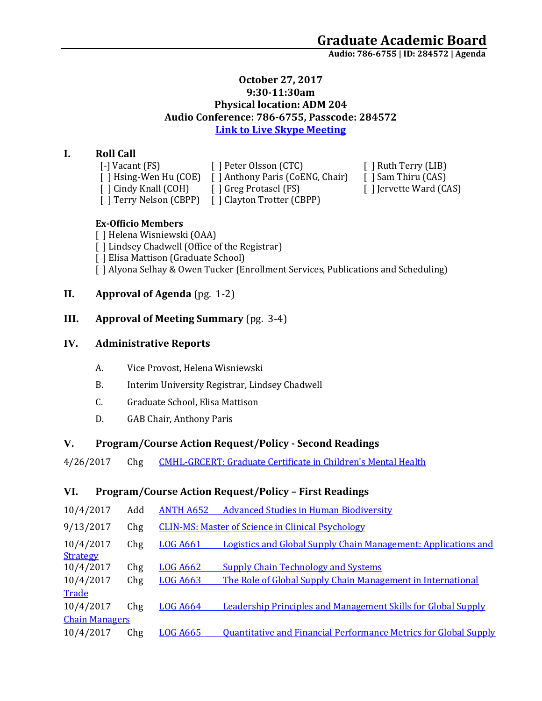**Audio: 786-6755 | ID: 284572 <sup>|</sup> Agenda**

#### **October 27, 2017 9:30-11:30am Physical location: ADM 204 Audio Conference: 786-6755, Passcode: 284572 [Link to Live Skype Meeting](https://meet.uaa.alaska.edu/mdmarron/GR8HB6P7)**

## **I. Roll Call**

[-] Vacant (FS) [ ] Peter Olsson (CTC) [ ] Ruth Terry (LIB)

[ ] Hsing-Wen Hu (COE) [ ] Anthony Paris (CoENG, Chair) [ ] Sam Thiru (CAS) [ ] Cindy Knall (COH) [ ] Greg Protasel (FS) [ ] Jervette Ward (CAS)

[ ] Terry Nelson (CBPP) [ ] Clayton Trotter (CBPP)

## **Ex-Officio Members**

[ ] Helena Wisniewski (OAA)

- [] Lindsey Chadwell (Office of the Registrar)
- [ ] Elisa Mattison (Graduate School)
- [ ] Alyona Selhay & Owen Tucker (Enrollment Services, Publications and Scheduling)

# **II. Approval of Agenda** (pg. 1-2)

# **III. Approval of Meeting Summary** (pg. 3-4)

# **IV. Administrative Reports**

- A. Vice Provost, Helena Wisniewski
- B. Interim University Registrar, Lindsey Chadwell
- C. Graduate School, Elisa Mattison
- D. GAB Chair, Anthony Paris

# **V. Program/Course Action Request/Policy - Second Readings**

4/26/2017 Chg [CMHL-GRCERT: Graduate Certificate in Children's Mental Health](https://nextcatalog.uaa.alaska.edu/courseleaf/courseleaf.cgi?page=/programadmin/5/index.html&step=tcadiff)

# **VI. Program/Course Action Request/Policy – First Readings**

| 10/4/2017                    | Add | <b>ANTH A652</b> | <b>Advanced Studies in Human Biodiversity</b>                           |  |  |
|------------------------------|-----|------------------|-------------------------------------------------------------------------|--|--|
| 9/13/2017                    | Chg |                  | <b>CLIN-MS: Master of Science in Clinical Psychology</b>                |  |  |
| 10/4/2017<br><b>Strategy</b> | Chg | <b>LOG A661</b>  | Logistics and Global Supply Chain Management: Applications and          |  |  |
| 10/4/2017                    | Chg | <b>LOG A662</b>  | <b>Supply Chain Technology and Systems</b>                              |  |  |
| 10/4/2017                    | Chg | <b>LOG A663</b>  | The Role of Global Supply Chain Management in International             |  |  |
| Trade                        |     |                  |                                                                         |  |  |
| 10/4/2017                    | Chg | <b>LOG A664</b>  | <b>Leadership Principles and Management Skills for Global Supply</b>    |  |  |
| <b>Chain Managers</b>        |     |                  |                                                                         |  |  |
| 10/4/2017                    | Chg | <b>LOG A665</b>  | <b>Quantitative and Financial Performance Metrics for Global Supply</b> |  |  |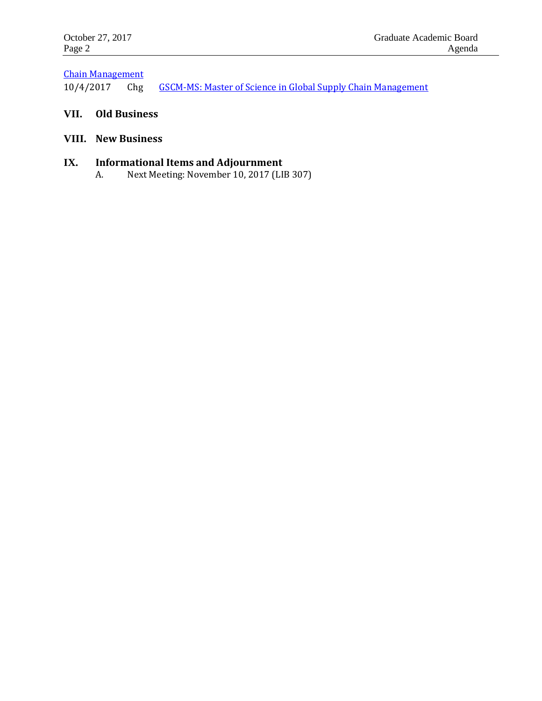# [Chain Management](https://nextcatalog.uaa.alaska.edu/courseleaf/courseleaf.cgi?page=/courseadmin/4133/index.html&step=tcadiff)

10/4/2017 Chg [GSCM-MS: Master of Science in Global Supply Chain Management](https://nextcatalog.uaa.alaska.edu/courseleaf/courseleaf.cgi?page=/programadmin/9/index.html&step=tcadiff)

# **VII. Old Business**

## **VIII. New Business**

## **IX. Informational Items and Adjournment**

A. Next Meeting: November 10, 2017 (LIB 307)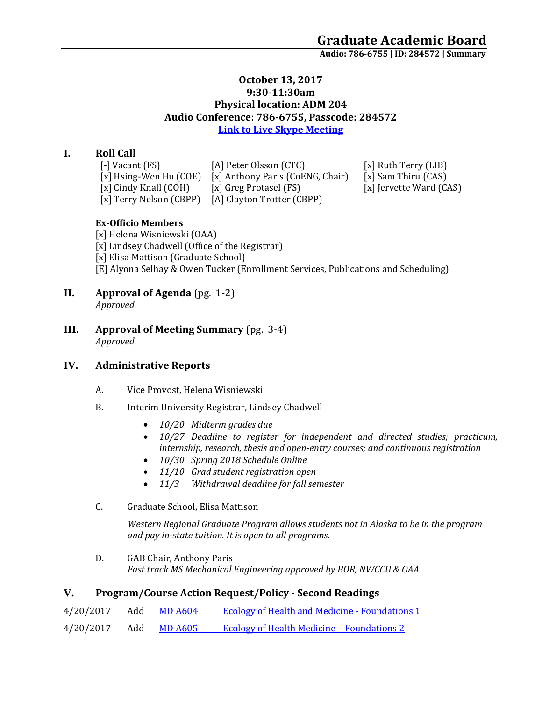**Audio: 786-6755 | ID: 284572 <sup>|</sup> Summary**

#### **October 13, 2017 9:30-11:30am Physical location: ADM 204 Audio Conference: 786-6755, Passcode: 284572 [Link to Live Skype Meeting](https://meet.uaa.alaska.edu/mdmarron/GR8HB6P7)**

## **I. Roll Call**

| [-] Vacant (FS)          | [A] Peter Olsson (CTC)           |  |
|--------------------------|----------------------------------|--|
| [x] Hsing-Wen Hu $(COE)$ | [x] Anthony Paris (CoENG, Chair) |  |
| [x] Cindy Knall (COH)    | [x] Greg Protasel (FS)           |  |
| [x] Terry Nelson (CBPP)  | [A] Clayton Trotter (CBPP)       |  |

k] Ruth Terry (LIB) k] Sam Thiru (CAS) k] Jervette Ward (CAS)

### **Ex-Officio Members**

[x] Helena Wisniewski (OAA) [x] Lindsey Chadwell (Office of the Registrar) [x] Elisa Mattison (Graduate School) [E] Alyona Selhay & Owen Tucker (Enrollment Services, Publications and Scheduling)

**II. Approval of Agenda** (pg. 1-2)

*Approved*

**III. Approval of Meeting Summary** (pg. 3-4) *Approved*

# **IV. Administrative Reports**

- A. Vice Provost, Helena Wisniewski
- B. Interim University Registrar, Lindsey Chadwell
	- *10/20 Midterm grades due*
	- *10/27 Deadline to register for independent and directed studies; practicum, internship, research, thesis and open-entry courses; and continuous registration*
	- *10/30 Spring 2018 Schedule Online*
	- *11/10 Grad student registration open*
	- *11/3 Withdrawal deadline for fall semester*
- C. Graduate School, Elisa Mattison

*Western Regional Graduate Program allows students not in Alaska to be in the program and pay in-state tuition. It is open to all programs.* 

D. GAB Chair, Anthony Paris *Fast track MS Mechanical Engineering approved by BOR, NWCCU & OAA*

### **V. Program/Course Action Request/Policy - Second Readings**

| 4/20/2017 | Add | MD A604     | <b>Ecology of Health and Medicine - Foundations 1</b> |
|-----------|-----|-------------|-------------------------------------------------------|
| 4/20/2017 |     | Add MD A605 | <b>Ecology of Health Medicine - Foundations 2</b>     |